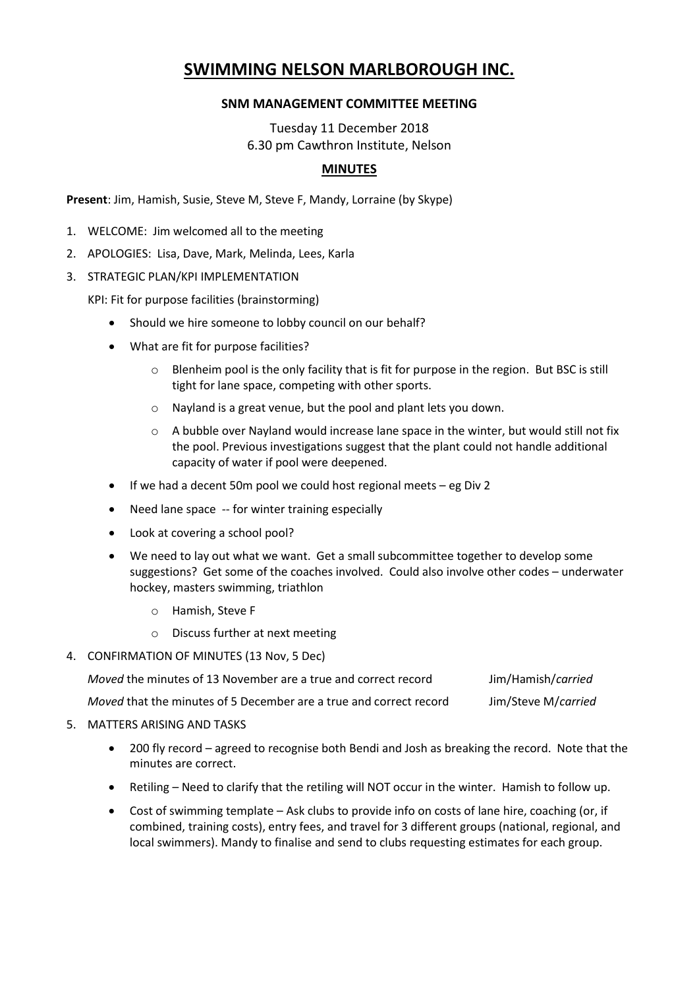# **SWIMMING NELSON MARLBOROUGH INC.**

## **SNM MANAGEMENT COMMITTEE MEETING**

Tuesday 11 December 2018 6.30 pm Cawthron Institute, Nelson

## **MINUTES**

**Present**: Jim, Hamish, Susie, Steve M, Steve F, Mandy, Lorraine (by Skype)

- 1. WELCOME: Jim welcomed all to the meeting
- 2. APOLOGIES: Lisa, Dave, Mark, Melinda, Lees, Karla
- 3. STRATEGIC PLAN/KPI IMPLEMENTATION

KPI: Fit for purpose facilities (brainstorming)

- Should we hire someone to lobby council on our behalf?
- What are fit for purpose facilities?
	- $\circ$  Blenheim pool is the only facility that is fit for purpose in the region. But BSC is still tight for lane space, competing with other sports.
	- o Nayland is a great venue, but the pool and plant lets you down.
	- $\circ$  A bubble over Nayland would increase lane space in the winter, but would still not fix the pool. Previous investigations suggest that the plant could not handle additional capacity of water if pool were deepened.
- $\bullet$  If we had a decent 50m pool we could host regional meets eg Div 2
- Need lane space -- for winter training especially
- Look at covering a school pool?
- We need to lay out what we want. Get a small subcommittee together to develop some suggestions? Get some of the coaches involved. Could also involve other codes – underwater hockey, masters swimming, triathlon
	- o Hamish, Steve F
	- o Discuss further at next meeting
- 4. CONFIRMATION OF MINUTES (13 Nov, 5 Dec)

| <i>Moved</i> the minutes of 13 November are a true and correct record     | Jim/Hamish/carried  |
|---------------------------------------------------------------------------|---------------------|
| <i>Moved</i> that the minutes of 5 December are a true and correct record | Jim/Steve M/carried |

- 5. MATTERS ARISING AND TASKS
	- 200 fly record agreed to recognise both Bendi and Josh as breaking the record. Note that the minutes are correct.
	- Retiling Need to clarify that the retiling will NOT occur in the winter. Hamish to follow up.
	- Cost of swimming template Ask clubs to provide info on costs of lane hire, coaching (or, if combined, training costs), entry fees, and travel for 3 different groups (national, regional, and local swimmers). Mandy to finalise and send to clubs requesting estimates for each group.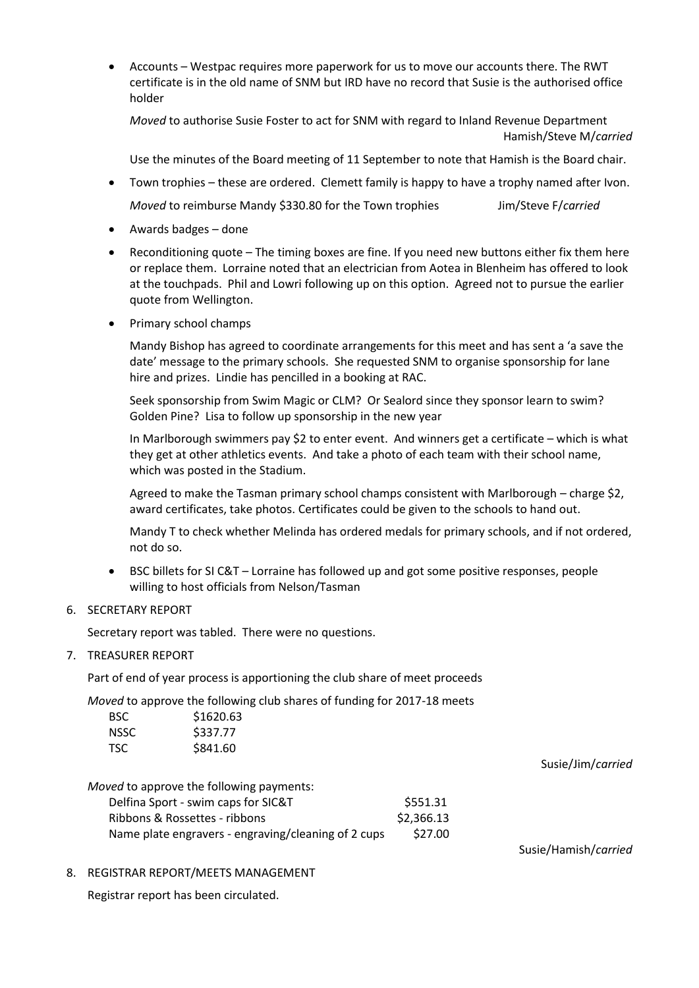Accounts – Westpac requires more paperwork for us to move our accounts there. The RWT certificate is in the old name of SNM but IRD have no record that Susie is the authorised office holder

*Moved* to authorise Susie Foster to act for SNM with regard to Inland Revenue Department Hamish/Steve M/*carried*

Use the minutes of the Board meeting of 11 September to note that Hamish is the Board chair.

- Town trophies these are ordered. Clemett family is happy to have a trophy named after Ivon. *Moved* to reimburse Mandy \$330.80 for the Town trophies Jim/Steve F/*carried*
- Awards badges done
- Reconditioning quote The timing boxes are fine. If you need new buttons either fix them here or replace them. Lorraine noted that an electrician from Aotea in Blenheim has offered to look at the touchpads. Phil and Lowri following up on this option. Agreed not to pursue the earlier quote from Wellington.
- Primary school champs

Mandy Bishop has agreed to coordinate arrangements for this meet and has sent a 'a save the date' message to the primary schools. She requested SNM to organise sponsorship for lane hire and prizes. Lindie has pencilled in a booking at RAC.

Seek sponsorship from Swim Magic or CLM? Or Sealord since they sponsor learn to swim? Golden Pine? Lisa to follow up sponsorship in the new year

In Marlborough swimmers pay \$2 to enter event. And winners get a certificate – which is what they get at other athletics events. And take a photo of each team with their school name, which was posted in the Stadium.

Agreed to make the Tasman primary school champs consistent with Marlborough – charge \$2, award certificates, take photos. Certificates could be given to the schools to hand out.

Mandy T to check whether Melinda has ordered medals for primary schools, and if not ordered, not do so.

 BSC billets for SI C&T – Lorraine has followed up and got some positive responses, people willing to host officials from Nelson/Tasman

### 6. SECRETARY REPORT

Secretary report was tabled. There were no questions.

### 7. TREASURER REPORT

Part of end of year process is apportioning the club share of meet proceeds

*Moved* to approve the following club shares of funding for 2017-18 meets

| BSC. | \$1620.63 |
|------|-----------|
| NSSC | \$337.77  |
| TSC. | \$841.60  |

#### Susie/Jim/*carried*

*Moved* to approve the following payments:

| Delfina Sport - swim caps for SIC&T                 | \$551.31   |
|-----------------------------------------------------|------------|
| Ribbons & Rossettes - ribbons                       | \$2,366.13 |
| Name plate engravers - engraving/cleaning of 2 cups | \$27.00    |

Susie/Hamish/*carried*

8. REGISTRAR REPORT/MEETS MANAGEMENT

Registrar report has been circulated.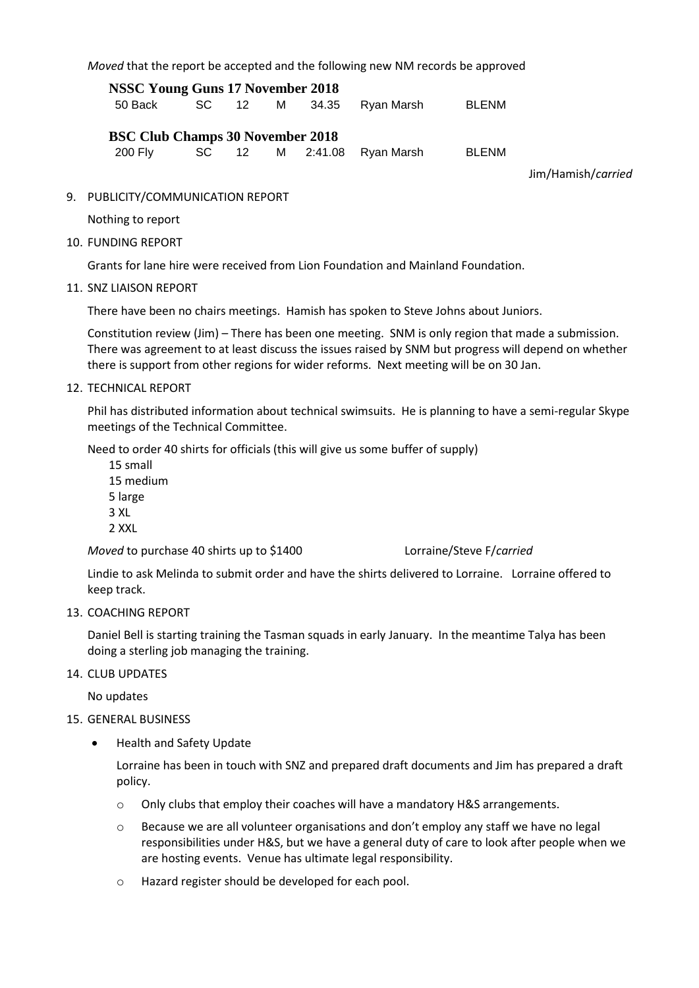*Moved* that the report be accepted and the following new NM records be approved

**NSSC Young Guns 17 November 2018** 50 Back SC 12 M 34.35 Ryan Marsh BLENM **BSC Club Champs 30 November 2018** 200 Fly SC 12 M 2:41.08 Ryan Marsh BLENM

Jim/Hamish/*carried*

9. PUBLICITY/COMMUNICATION REPORT

Nothing to report

10. FUNDING REPORT

Grants for lane hire were received from Lion Foundation and Mainland Foundation.

11. SNZ LIAISON REPORT

There have been no chairs meetings. Hamish has spoken to Steve Johns about Juniors.

Constitution review (Jim) – There has been one meeting. SNM is only region that made a submission. There was agreement to at least discuss the issues raised by SNM but progress will depend on whether there is support from other regions for wider reforms. Next meeting will be on 30 Jan.

12. TECHNICAL REPORT

Phil has distributed information about technical swimsuits. He is planning to have a semi-regular Skype meetings of the Technical Committee.

Need to order 40 shirts for officials (this will give us some buffer of supply)

15 small 15 medium 5 large 3 XL 2 XXL

*Moved* to purchase 40 shirts up to \$1400 Lorraine/Steve F/*carried*

Lindie to ask Melinda to submit order and have the shirts delivered to Lorraine. Lorraine offered to keep track.

13. COACHING REPORT

Daniel Bell is starting training the Tasman squads in early January. In the meantime Talya has been doing a sterling job managing the training.

14. CLUB UPDATES

No updates

- 15. GENERAL BUSINESS
	- Health and Safety Update

Lorraine has been in touch with SNZ and prepared draft documents and Jim has prepared a draft policy.

- o Only clubs that employ their coaches will have a mandatory H&S arrangements.
- o Because we are all volunteer organisations and don't employ any staff we have no legal responsibilities under H&S, but we have a general duty of care to look after people when we are hosting events. Venue has ultimate legal responsibility.
- o Hazard register should be developed for each pool.